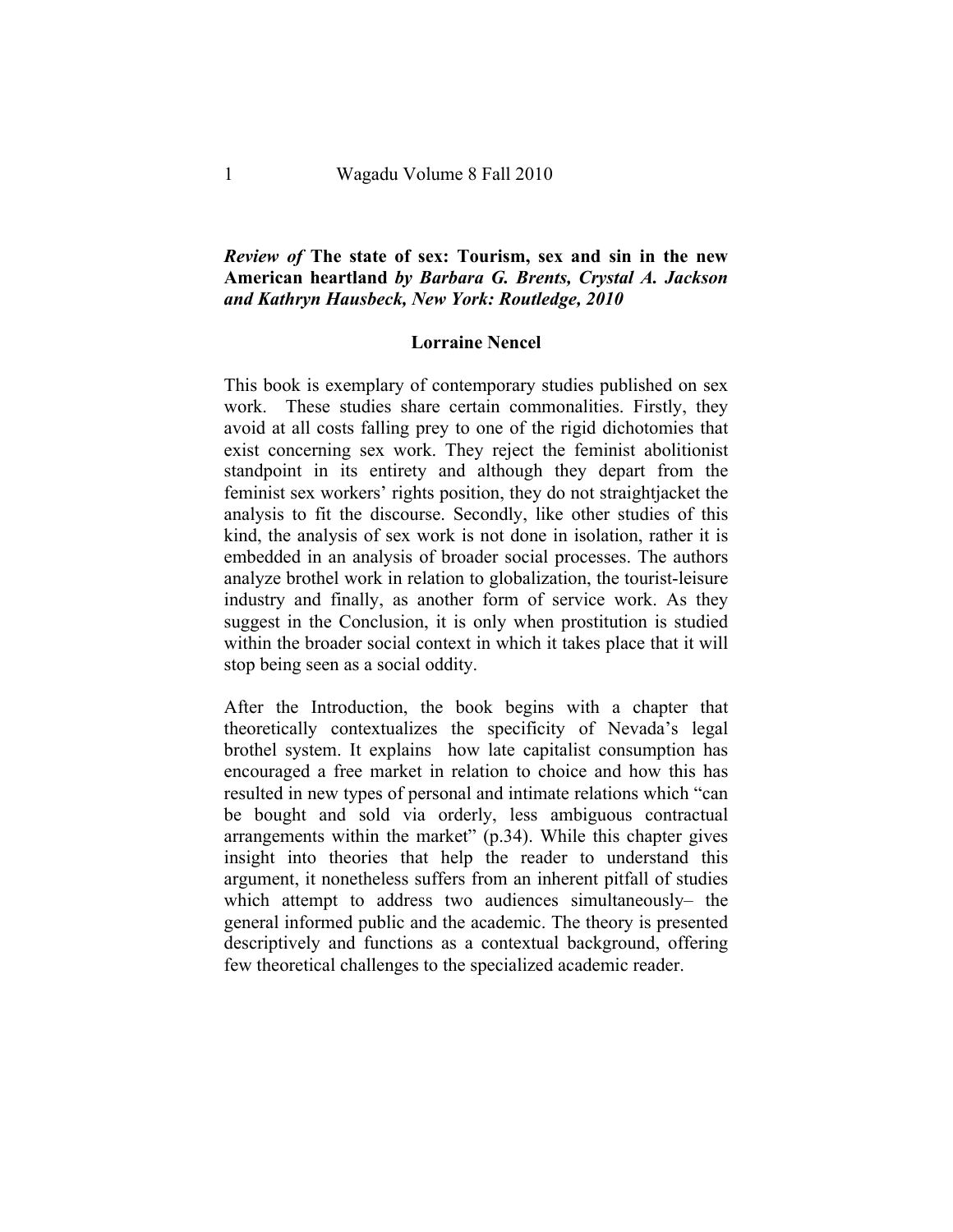## *Review of* **The state of sex: Tourism, sex and sin in the new American heartland** *by Barbara G. Brents, Crystal A. Jackson and Kathryn Hausbeck, New York: Routledge, 2010*

## **Lorraine Nencel**

This book is exemplary of contemporary studies published on sex work. These studies share certain commonalities. Firstly, they avoid at all costs falling prey to one of the rigid dichotomies that exist concerning sex work. They reject the feminist abolitionist standpoint in its entirety and although they depart from the feminist sex workers' rights position, they do not straightjacket the analysis to fit the discourse. Secondly, like other studies of this kind, the analysis of sex work is not done in isolation, rather it is embedded in an analysis of broader social processes. The authors analyze brothel work in relation to globalization, the tourist-leisure industry and finally, as another form of service work. As they suggest in the Conclusion, it is only when prostitution is studied within the broader social context in which it takes place that it will stop being seen as a social oddity.

After the Introduction, the book begins with a chapter that theoretically contextualizes the specificity of Nevada's legal brothel system. It explains how late capitalist consumption has encouraged a free market in relation to choice and how this has resulted in new types of personal and intimate relations which "can be bought and sold via orderly, less ambiguous contractual arrangements within the market" (p.34). While this chapter gives insight into theories that help the reader to understand this argument, it nonetheless suffers from an inherent pitfall of studies which attempt to address two audiences simultaneously– the general informed public and the academic. The theory is presented descriptively and functions as a contextual background, offering few theoretical challenges to the specialized academic reader.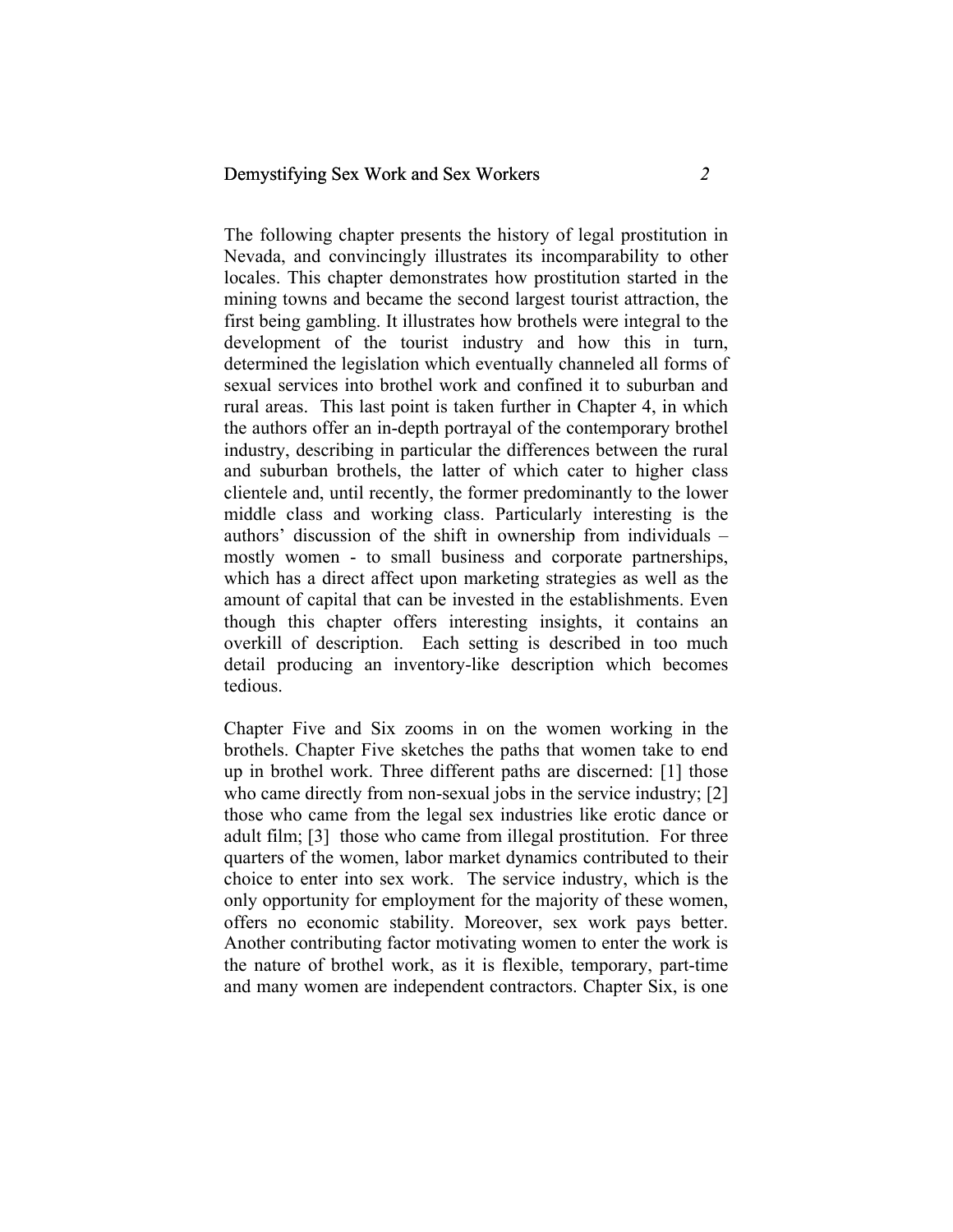## Demystifying Sex Work and Sex Workers *2*

The following chapter presents the history of legal prostitution in Nevada, and convincingly illustrates its incomparability to other locales. This chapter demonstrates how prostitution started in the mining towns and became the second largest tourist attraction, the first being gambling. It illustrates how brothels were integral to the development of the tourist industry and how this in turn, determined the legislation which eventually channeled all forms of sexual services into brothel work and confined it to suburban and rural areas. This last point is taken further in Chapter 4, in which the authors offer an in-depth portrayal of the contemporary brothel industry, describing in particular the differences between the rural and suburban brothels, the latter of which cater to higher class clientele and, until recently, the former predominantly to the lower middle class and working class. Particularly interesting is the authors' discussion of the shift in ownership from individuals – mostly women - to small business and corporate partnerships, which has a direct affect upon marketing strategies as well as the amount of capital that can be invested in the establishments. Even though this chapter offers interesting insights, it contains an overkill of description. Each setting is described in too much detail producing an inventory-like description which becomes tedious.

Chapter Five and Six zooms in on the women working in the brothels. Chapter Five sketches the paths that women take to end up in brothel work. Three different paths are discerned: [1] those who came directly from non-sexual jobs in the service industry; [2] those who came from the legal sex industries like erotic dance or adult film; [3] those who came from illegal prostitution. For three quarters of the women, labor market dynamics contributed to their choice to enter into sex work. The service industry, which is the only opportunity for employment for the majority of these women, offers no economic stability. Moreover, sex work pays better. Another contributing factor motivating women to enter the work is the nature of brothel work, as it is flexible, temporary, part-time and many women are independent contractors. Chapter Six, is one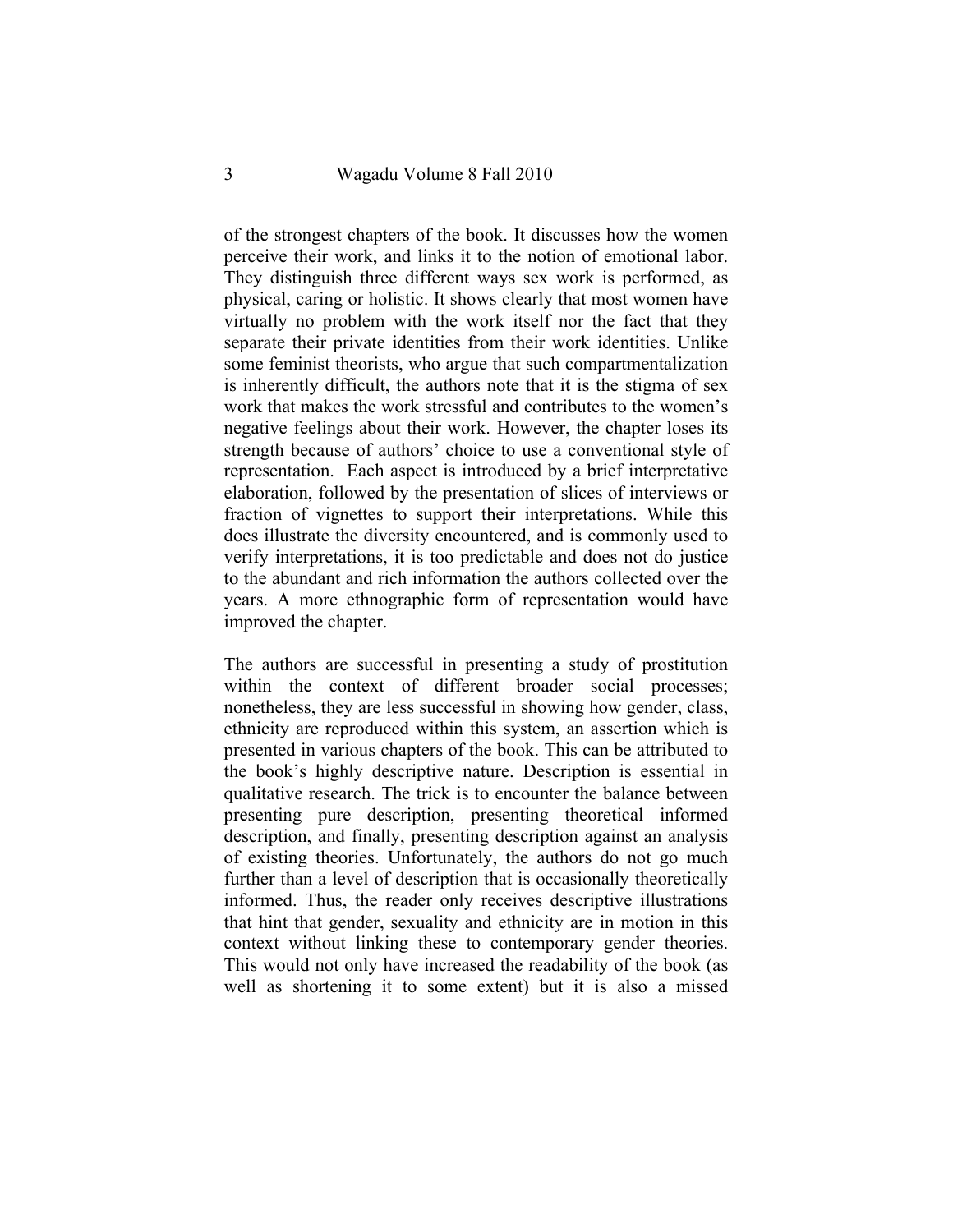of the strongest chapters of the book. It discusses how the women perceive their work, and links it to the notion of emotional labor. They distinguish three different ways sex work is performed, as physical, caring or holistic. It shows clearly that most women have virtually no problem with the work itself nor the fact that they separate their private identities from their work identities. Unlike some feminist theorists, who argue that such compartmentalization is inherently difficult, the authors note that it is the stigma of sex work that makes the work stressful and contributes to the women's negative feelings about their work. However, the chapter loses its strength because of authors' choice to use a conventional style of representation. Each aspect is introduced by a brief interpretative elaboration, followed by the presentation of slices of interviews or fraction of vignettes to support their interpretations. While this does illustrate the diversity encountered, and is commonly used to verify interpretations, it is too predictable and does not do justice to the abundant and rich information the authors collected over the years. A more ethnographic form of representation would have improved the chapter.

The authors are successful in presenting a study of prostitution within the context of different broader social processes; nonetheless, they are less successful in showing how gender, class, ethnicity are reproduced within this system, an assertion which is presented in various chapters of the book. This can be attributed to the book's highly descriptive nature. Description is essential in qualitative research. The trick is to encounter the balance between presenting pure description, presenting theoretical informed description, and finally, presenting description against an analysis of existing theories. Unfortunately, the authors do not go much further than a level of description that is occasionally theoretically informed. Thus, the reader only receives descriptive illustrations that hint that gender, sexuality and ethnicity are in motion in this context without linking these to contemporary gender theories. This would not only have increased the readability of the book (as well as shortening it to some extent) but it is also a missed